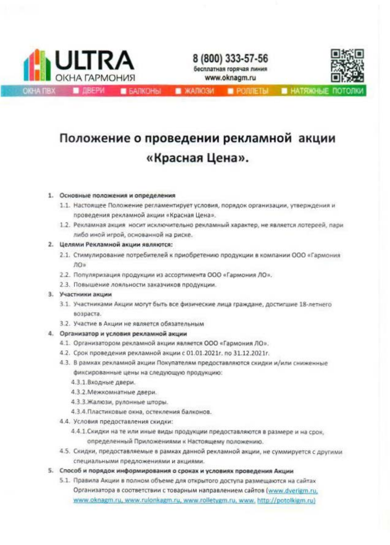

8 (800) 333-57-56 бесплатная горячая линия www.oknagm.ru



**BARKOHISI** 

**XAJIO34** 

**PONIETH PLATRICHLIE N** 

# Положение о проведении рекламной акции «Красная Цена».

## 1. Основные положения и определения

- 1.1. Настоящее Положение регламентирует условия, порядок организации, утверждения и проведения рекламной акции «Красная Цена».
- 1.2. Рекламная акция носит исключительно рекламный характер, не является лотереей, пари либо иной игрой, основанной на риске.

## 2. Целями Рекламной акции являются:

- 2.1. Стимулирование потребителей к приобретению продукции в компании ООО «Гармония ЛО»
- 2.2. Популяризация продукции из ассортимента ООО «Гармония ЛО».
- 2.3. Повышение лояльности заказчиков продукции.

#### 3. Участники акции

- 3.1. Участниками Акции могут быть все физические лица граждане, достигшие 18-летнего возраста.
- 3.2. Участие в Акции не является обязательным

# 4. Организатор и условия рекламной акции

- 4.1. Организатором рекламной акции является ООО «Гармония ЛО».
- 4.2. Срок проведения рекламной акции с 01.01.2021г. по 31.12.2021г.
- 4.3. В рамках рекламной акции Покупателям предоставляются скидки и/или сниженные фиксированные цены на следующую продукцию:
	- 4.3.1.Входные двери.
	- 4.3.2. Межкомнатные двери.
	- 4.3.3.Жалюзи, рулонные шторы.
	- 4.3.4. Пластиковые окна, остекления балконов.
- 4.4. Условия предоставления скидки:
	- 4.4.1.Скидки на те или иные виды продукции предоставляются в размере и на срок, определенный Приложениями к Настоящему положению.
- 4.5. Скидки, предоставляемые в рамках данной рекламной акции, не суммируется с другими специальными предложениями и акциями.
- 5. Способ и порядок информирования о сроках и условиях проведения Акции
	- 5.1. Правила Акции в полном объеме для открытого доступа размещаются на сайтах Организатора в соответствии с товарным направлением сайтов (www.dverigm.ru, www.oknagm.ru, www.rulonkagm.ru, www.rolletygm.ru, www.http://potolkigm.ru)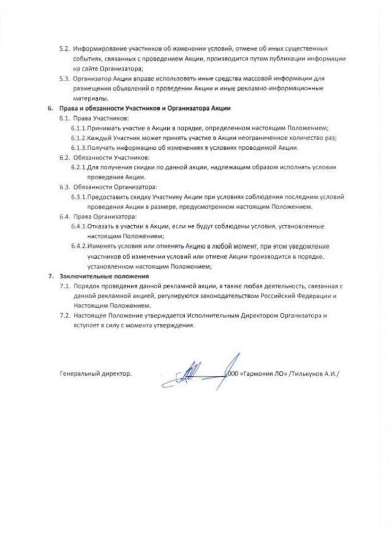- 5.2. Информирование участников об изменении условий, отмене об иных существенных событиях, связанных с проведением Акции, производится путем публикации информации на сайте Организатора;
- 5.3. Организатор Акции вправе использовать иные средства массовой информации для размещения объявлений о проведении Акции и иные рекламно-информационные материалы.

# 6. Права и обязанности Участников и Организатора Акции

- 6.1. Права Участников:
	- 6.1.1. Принимать участие в Акции в порядке, определенном настоящим Положением;
	- 6.1.2. Каждый Участник может принять участие в Акции неограниченное количество раз:
	- 6.1.3. Получать информацию об изменениях в условиях проводимой Акции.
- 6.2. Обязанности Участников:
	- 6.2.1 Для получения скидки по данной акции, надлежащим образом исполнять условия проведения Акции.
- 6.3. Обязанности Организатора:
	- 6.3.1. Предоставить скидку Участнику Акции при условиях соблюдения последним условий проведения Акции в размере, предусмотренном настоящим Положением.
- 6.4. Права Организатора:
	- 6.4.1. Отказать в участии в Акции, если не будут соблюдены условия, установленные настоящим Положением;
	- 6.4.2.Изменять условия или отменять Акцию в любой момент, при этом уведомление участников об изменении условий или отмене Акции производится в порядке, установленном настоящим Положением;

#### 7. Заключительные положения

- 7.1. Порядок проведения данной рекламной акции, а также любая деятельность, связанная с данной рекламной акцией, регулируются законодательством Российский Федерации и Настоящим Положением.
- 7.2. Настоящее Положение утверждается Исполнительным Директором Организатора и вступает в силу с момента утверждения.

Генеральный директор.

COO «Гармония ЛО» /Тилькунов А.И./